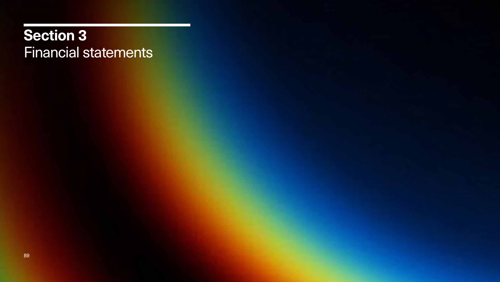### **Section 3** Financial statements

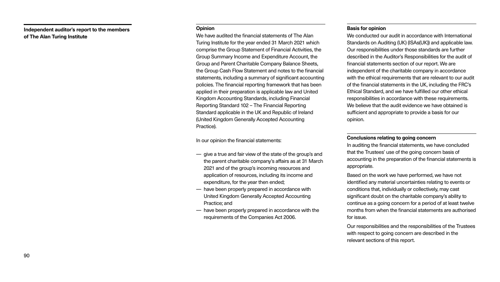#### **Opinion**

We have audited the financial statements of The Alan Turing Institute for the year ended 31 March 2021 which comprise the Group Statement of Financial Activities, the Group Summary Income and Expenditure Account, the Group and Parent Charitable Company Balance Sheets, the Group Cash Flow Statement and notes to the financial statements, including a summary of significant accounting policies. The financial reporting framework that has been applied in their preparation is applicable law and United Kingdom Accounting Standards, including Financial Reporting Standard 102 – The Financial Reporting Standard applicable in the UK and Republic of Ireland (United Kingdom Generally Accepted Accounting Practice).

In our opinion the financial statements:

We conducted our audit in accordance with International Standards on Auditing (UK) (ISAs(UK)) and applicable law. Our responsibilities under those standards are further described in the Auditor's Responsibilities for the audit of financial statements section of our report. We are independent of the charitable company in accordance with the ethical requirements that are relevant to our audit of the financial statements in the UK, including the FRC's Ethical Standard, and we have fulfilled our other ethical responsibilities in accordance with these requirements. We believe that the audit evidence we have obtained is sufficient and appropriate to provide a basis for our opinion.

- give a true and fair view of the state of the group's and the parent charitable company's affairs as at 31 March 2021 and of the group's incoming resources and application of resources, including its income and expenditure, for the year then ended;
- have been properly prepared in accordance with United Kingdom Generally Accepted Accounting Practice; and
- have been properly prepared in accordance with the requirements of the Companies Act 2006.

#### **Basis for opinion**

#### **Conclusions relating to going concern**

In auditing the financial statements, we have concluded that the Trustees' use of the going concern basis of accounting in the preparation of the financial statements is appropriate.

Based on the work we have performed, we have not identified any material uncertainties relating to events or conditions that, individually or collectively, may cast significant doubt on the charitable company's ability to continue as a going concern for a period of at least twelve months from when the financial statements are authorised for issue.

Our responsibilities and the responsibilities of the Trustees with respect to going concern are described in the relevant sections of this report.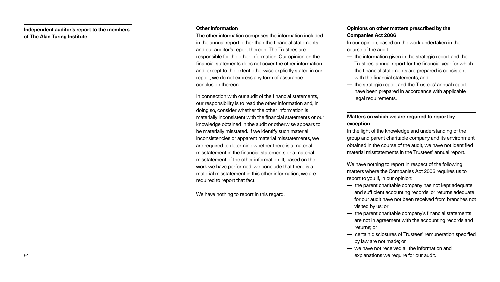- 
- 

#### **Other information**

The other information comprises the information included in the annual report, other than the financial statements and our auditor's report thereon. The Trustees are responsible for the other information. Our opinion on the financial statements does not cover the other information and, except to the extent otherwise explicitly stated in our report, we do not express any form of assurance conclusion thereon.

In connection with our audit of the financial statements, our responsibility is to read the other information and, in doing so, consider whether the other information is materially inconsistent with the financial statements or our knowledge obtained in the audit or otherwise appears to be materially misstated. If we identify such material inconsistencies or apparent material misstatements, we are required to determine whether there is a material misstatement in the financial statements or a material misstatement of the other information. If, based on the work we have performed, we conclude that there is a material misstatement in this other information, we are required to report that fact.

We have nothing to report in this regard.

### **Opinions on other matters prescribed by the Companies Act 2006**

In our opinion, based on the work undertaken in the course of the audit:

- the information given in the strategic report and the Trustees' annual report for the financial year for which the financial statements are prepared is consistent with the financial statements: and
- the strategic report and the Trustees' annual report have been prepared in accordance with applicable legal requirements.

### **Matters on which we are required to report by exception**

In the light of the knowledge and understanding of the group and parent charitable company and its environment obtained in the course of the audit, we have not identified material misstatements in the Trustees' annual report.

We have nothing to report in respect of the following matters where the Companies Act 2006 requires us to report to you if, in our opinion:

- the parent charitable company has not kept adequate and sufficient accounting records, or returns adequate for our audit have not been received from branches not visited by us; or
- the parent charitable company's financial statements are not in agreement with the accounting records and returns; or
- certain disclosures of Trustees' remuneration specified by law are not made; or
- we have not received all the information and explanations we require for our audit.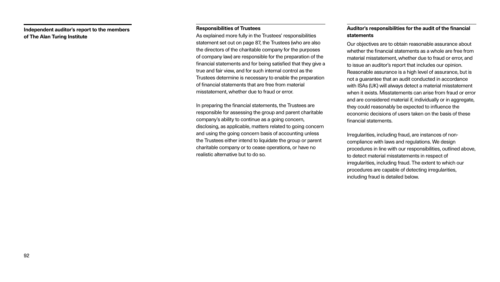#### **Responsibilities of Trustees**

As explained more fully in the Trustees' responsibilities statement set out on page 87, the Trustees (who are also the directors of the charitable company for the purposes of company law) are responsible for the preparation of the financial statements and for being satisfied that they give a true and fair view, and for such internal control as the Trustees determine is necessary to enable the preparation of financial statements that are free from material misstatement, whether due to fraud or error.

In preparing the financial statements, the Trustees are responsible for assessing the group and parent charitable company's ability to continue as a going concern, disclosing, as applicable, matters related to going concern and using the going concern basis of accounting unless the Trustees either intend to liquidate the group or parent charitable company or to cease operations, or have no realistic alternative but to do so.

### **Auditor's responsibilities for the audit of the financial statements**

Our objectives are to obtain reasonable assurance about whether the financial statements as a whole are free from material misstatement, whether due to fraud or error, and to issue an auditor's report that includes our opinion. Reasonable assurance is a high level of assurance, but is not a guarantee that an audit conducted in accordance with ISAs (UK) will always detect a material misstatement when it exists. Misstatements can arise from fraud or error and are considered material if, individually or in aggregate, they could reasonably be expected to influence the economic decisions of users taken on the basis of these financial statements.

Irregularities, including fraud, are instances of noncompliance with laws and regulations. We design procedures in line with our responsibilities, outlined above, to detect material misstatements in respect of irregularities, including fraud. The extent to which our procedures are capable of detecting irregularities, including fraud is detailed below.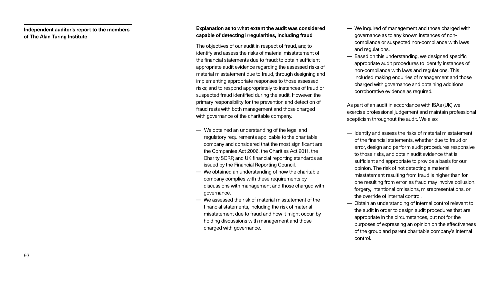- 
- 
- 
- 

- We inquired of management and those charged with governance as to any known instances of noncompliance or suspected non-compliance with laws and regulations.
- Based on this understanding, we designed specific appropriate audit procedures to identify instances of non-compliance with laws and regulations. This included making enquiries of management and those charged with governance and obtaining additional corroborative evidence as required.

As part of an audit in accordance with ISAs (UK) we exercise professional judgement and maintain professional scepticism throughout the audit. We also:

- Identify and assess the risks of material misstatement of the financial statements, whether due to fraud or error, design and perform audit procedures responsive to those risks, and obtain audit evidence that is sufficient and appropriate to provide a basis for our opinion. The risk of not detecting a material misstatement resulting from fraud is higher than for one resulting from error, as fraud may involve collusion, forgery, intentional omissions, misrepresentations, or the override of internal control.
- Obtain an understanding of internal control relevant to the audit in order to design audit procedures that are appropriate in the circumstances, but not for the purposes of expressing an opinion on the effectiveness of the group and parent charitable company's internal control.

### **Explanation as to what extent the audit was considered capable of detecting irregularities, including fraud**

The objectives of our audit in respect of fraud, are; to identify and assess the risks of material misstatement of the financial statements due to fraud; to obtain sufficient appropriate audit evidence regarding the assessed risks of material misstatement due to fraud, through designing and implementing appropriate responses to those assessed risks; and to respond appropriately to instances of fraud or suspected fraud identified during the audit. However, the primary responsibility for the prevention and detection of fraud rests with both management and those charged with governance of the charitable company.

- We obtained an understanding of the legal and regulatory requirements applicable to the charitable company and considered that the most significant are the Companies Act 2006, the Charities Act 2011, the Charity SORP, and UK financial reporting standards as issued by the Financial Reporting Council.
- We obtained an understanding of how the charitable company complies with these requirements by discussions with management and those charged with governance.
- We assessed the risk of material misstatement of the financial statements, including the risk of material misstatement due to fraud and how it might occur, by holding discussions with management and those charged with governance.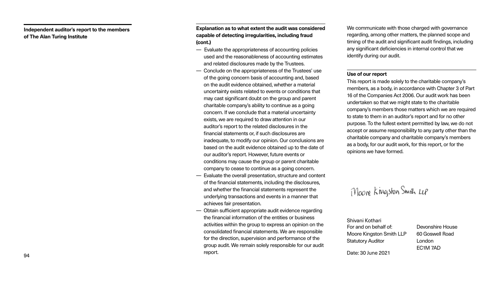**Explanation as to what extent the audit was considered capable of detecting irregularities, including fraud (cont.)**

- Evaluate the appropriateness of accounting policies used and the reasonableness of accounting estimates and related disclosures made by the Trustees.
- Conclude on the appropriateness of the Trustees' use of the going concern basis of accounting and, based on the audit evidence obtained, whether a material uncertainty exists related to events or conditions that may cast significant doubt on the group and parent charitable company's ability to continue as a going concern. If we conclude that a material uncertainty exists, we are required to draw attention in our auditor's report to the related disclosures in the financial statements or, if such disclosures are inadequate, to modify our opinion. Our conclusions are based on the audit evidence obtained up to the date of our auditor's report. However, future events or conditions may cause the group or parent charitable company to cease to continue as a going concern. — Evaluate the overall presentation, structure and content
- of the financial statements, including the disclosures, and whether the financial statements represent the underlying transactions and events in a manner that achieves fair presentation.
- Obtain sufficient appropriate audit evidence regarding the financial information of the entities or business activities within the group to express an opinion on the consolidated financial statements. We are responsible for the direction, supervision and performance of the group audit. We remain solely responsible for our audit report.

We communicate with those charged with governance regarding, among other matters, the planned scope and timing of the audit and significant audit findings, including any significant deficiencies in internal control that we identify during our audit.

### **Use of our report**

This report is made solely to the charitable company's members, as a body, in accordance with Chapter 3 of Part 16 of the Companies Act 2006. Our audit work has been undertaken so that we might state to the charitable company's members those matters which we are required to state to them in an auditor's report and for no other purpose. To the fullest extent permitted by law, we do not accept or assume responsibility to any party other than the charitable company and charitable company's members as a body, for our audit work, for this report, or for the opinions we have formed.

Moore Kingston Smith LLP

For and on behalf of: Moore Kingston Smith LLP Statutory Auditor Shivani Kothari

Devonshire House 60 Goswell Road London EC1M 7AD

Date: 30 June 2021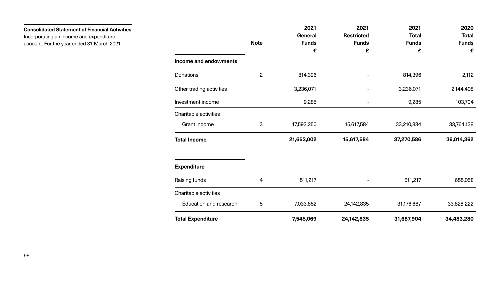**Consolidated Statement of Financial Activities**

Incorporating an income and expenditure account. For the year ended 31 March 2021.

|                                           | <b>Note</b> | 2021<br><b>General</b><br><b>Funds</b><br>£ |
|-------------------------------------------|-------------|---------------------------------------------|
| <b>Income and endowments</b><br>Donations | 2           | 814,396                                     |
| Other trading activities                  |             | 3,236,071                                   |
| Investment income                         |             | 9,285                                       |
| <b>Charitable activities</b>              |             |                                             |
| <b>Grant income</b>                       | 3           | 17,593,250                                  |
| <b>Total Income</b>                       |             | 21,653,002                                  |
| <b>Expenditure</b>                        |             |                                             |
| <b>Raising funds</b>                      | 4           | 511,217                                     |
| <b>Charitable activities</b>              |             |                                             |
| <b>Education and research</b>             | 5           | 7,033,852                                   |
| <b>Total Expenditure</b>                  |             | 7,545,069                                   |

|                              |                | 2021           | 2021              | 2021         | 2020         |
|------------------------------|----------------|----------------|-------------------|--------------|--------------|
|                              |                | <b>General</b> | <b>Restricted</b> | <b>Total</b> | <b>Total</b> |
|                              | <b>Note</b>    | <b>Funds</b>   | <b>Funds</b>      | <b>Funds</b> | <b>Funds</b> |
|                              |                | £              | £                 | £            | £            |
| <b>Income and endowments</b> |                |                |                   |              |              |
| <b>Donations</b>             | $\overline{2}$ | 814,396        |                   | 814,396      | 2,112        |
| Other trading activities     |                | 3,236,071      |                   | 3,236,071    | 2,144,408    |
| Investment income            |                | 9,285          |                   | 9,285        | 103,704      |
| <b>Charitable activities</b> |                |                |                   |              |              |
| <b>Grant income</b>          | 3              | 17,593,250     | 15,617,584        | 33,210,834   | 33,764,138   |
| <b>Total Income</b>          |                | 21,653,002     | 15,617,584        | 37,270,586   | 36,014,362   |
| <b>Expenditure</b>           |                |                |                   |              |              |
| <b>Raising funds</b>         | 4              | 511,217        |                   | 511,217      | 655,058      |
| <b>Charitable activities</b> |                |                |                   |              |              |
| Education and research       | 5              | 7,033,852      | 24,142,835        | 31,176,687   | 33,828,222   |
| <b>Total Expenditure</b>     |                | 7,545,069      | 24,142,835        | 31,687,904   | 34,483,280   |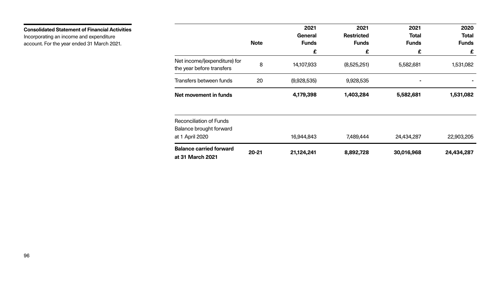|                                                                  |             | 2021<br><b>General</b> | 2021<br><b>Restricted</b> | 2021<br><b>Total</b> | 2020<br><b>Total</b> |
|------------------------------------------------------------------|-------------|------------------------|---------------------------|----------------------|----------------------|
|                                                                  | <b>Note</b> | <b>Funds</b>           | <b>Funds</b>              | <b>Funds</b>         | <b>Funds</b>         |
|                                                                  |             | £                      | £                         | £                    | £                    |
| Net income/(expenditure) for<br>the year before transfers        | 8           | 14,107,933             | (8,525,251)               | 5,582,681            | 1,531,082            |
| Transfers between funds                                          | 20          | (9,928,535)            | 9,928,535                 |                      |                      |
| Net movement in funds                                            |             | 4,179,398              | 1,403,284                 | 5,582,681            | 1,531,082            |
| <b>Reconciliation of Funds</b><br><b>Balance brought forward</b> |             |                        |                           |                      |                      |
| at 1 April 2020                                                  |             | 16,944,843             | 7,489,444                 | 24,434,287           | 22,903,205           |
| <b>Balance carried forward</b><br>at 31 March 2021               | $20 - 21$   | 21,124,241             | 8,892,728                 | 30,016,968           | 24,434,287           |

**Consolidated Statement of Financial Activities**

Incorporating an income and expenditure account. For the year ended 31 March 2021.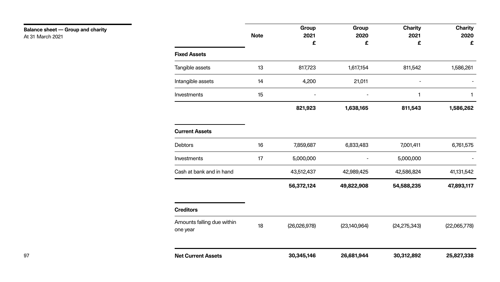### **Balance sheet — Group and charity** At 31 March 2021

|                       | <b>Note</b> | чı<br>$\overline{2}$ |
|-----------------------|-------------|----------------------|
| <b>Fixed Assets</b>   |             |                      |
| Tangible assets       | 13          | 817                  |
| Intangible assets     | 14          | 4,                   |
| Investments           | 15          |                      |
|                       |             | 821,                 |
| <b>Current Assets</b> |             |                      |

|    | 56,372 |
|----|--------|
|    | 43,512 |
| 17 | 5,000  |
| 16 | 7,859  |
|    |        |

|                     | <b>Note</b> | Group<br>2021  | Group<br>2020 | <b>Charity</b><br>2021 | <b>Charity</b><br>2020 |
|---------------------|-------------|----------------|---------------|------------------------|------------------------|
|                     |             | £              | £             | £                      | £                      |
| <b>Fixed Assets</b> |             |                |               |                        |                        |
| Tangible assets     | 13          | 817,723        | 1,617,154     | 811,542                | 1,586,261              |
| Intangible assets   | 14          | 4,200          | 21,011        | $\blacksquare$         |                        |
| Investments         | 15          | $\blacksquare$ | $\sim$        |                        |                        |
|                     |             | 821,923        | 1,638,165     | 811,543                | 1,586,262              |

| <b>Debtors</b>                         | 16 | 7,859,687    | 6,833,483      | 7,001,411      | 6,761,575    |
|----------------------------------------|----|--------------|----------------|----------------|--------------|
| <b>Investments</b>                     | 17 | 5,000,000    |                | 5,000,000      |              |
| Cash at bank and in hand               |    | 43,512,437   | 42,989,425     | 42,586,824     | 41,131,542   |
|                                        |    | 56,372,124   | 49,822,908     | 54,588,235     | 47,893,117   |
| <b>Creditors</b>                       |    |              |                |                |              |
| Amounts falling due within<br>one year | 18 | (26,026,978) | (23, 140, 964) | (24, 275, 343) | (22,065,778) |
|                                        |    |              |                |                |              |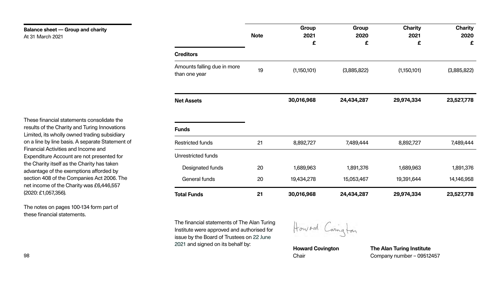The financial statements of The Alan Turing Institute were approved and authorised for issue by the Board of Trustees on 22 June 2021 and signed on its behalf by:



### **Balance sheet — Group and charity** At 31 March 2021

|                                              | <b>Note</b> | uı<br>$\overline{\mathbf{2}}$ |
|----------------------------------------------|-------------|-------------------------------|
| <b>Creditors</b>                             |             |                               |
| Amounts falling due in more<br>than one year | 19          | (1,150)                       |
| <b>Net Assets</b>                            |             | 30,016,                       |
| <b>Funds</b>                                 |             |                               |
| <b>Restricted funds</b>                      | 21          | 8,892                         |
| <b>Unrestricted funds</b>                    |             |                               |
| Designated funds                             | 20          | 1,689                         |
| <b>General funds</b>                         | 20          | 19,434                        |
| <b>Total Funds</b>                           | 21          | 30,016,                       |

|                                              | <b>Note</b> | <b>Group</b><br>2021<br>£ | Group<br>2020<br>£ | <b>Charity</b><br>2021<br>£ | <b>Charity</b><br>2020<br>£ |
|----------------------------------------------|-------------|---------------------------|--------------------|-----------------------------|-----------------------------|
| <b>Creditors</b>                             |             |                           |                    |                             |                             |
| Amounts falling due in more<br>than one year | 19          | (1,150,101)               | (3,885,822)        | (1,150,101)                 | (3,885,822)                 |
| <b>Net Assets</b>                            |             | 30,016,968                | 24,434,287         | 29,974,334                  | 23,527,778                  |
| <b>Funds</b>                                 |             |                           |                    |                             |                             |
| <b>Restricted funds</b>                      | 21          | 8,892,727                 | 7,489,444          | 8,892,727                   | 7,489,444                   |
| <b>Unrestricted funds</b>                    |             |                           |                    |                             |                             |
| <b>Designated funds</b>                      | 20          | 1,689,963                 | 1,891,376          | 1,689,963                   | 1,891,376                   |
| <b>General funds</b>                         | 20          | 19,434,278                | 15,053,467         | 19,391,644                  | 14,146,958                  |
| <b>Total Funds</b>                           | 21          | 30,016,968                | 24,434,287         | 29,974,334                  | 23,527,778                  |

Howard Carington

These financial statements consolidate the results of the Charity and Turing Innovations Limited, its wholly owned trading subsidiary on a line by line basis. A separate Statement of Financial Activities and Income and Expenditure Account are not presented for the Charity itself as the Charity has taken advantage of the exemptions afforded by section 408 of the Companies Act 2006. The net income of the Charity was £6,446,557 (2020: £1,057,356).

The notes on pages 100-134 form part of these financial statements.

**Howard Covington**

Chair

**The Alan Turing Institute** Company number – 09512457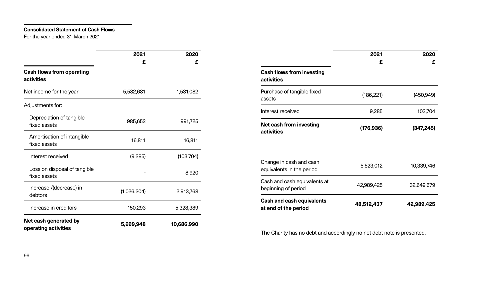### **Consolidated Statement of Cash Flows**

For the year ended 31 March 2021

|                                                       | 2021        | 2020       |                                                          | 2021       | 2020       |
|-------------------------------------------------------|-------------|------------|----------------------------------------------------------|------------|------------|
|                                                       | £           | £          |                                                          | £          | £          |
| <b>Cash flows from operating</b><br><b>activities</b> |             |            | <b>Cash flows from investing</b><br><b>activities</b>    |            |            |
| Net income for the year                               | 5,582,681   | 1,531,082  | Purchase of tangible fixed<br>assets                     | (186, 221) | (450, 949) |
| Adjustments for:                                      |             |            | Interest received                                        | 9,285      | 103,704    |
| Depreciation of tangible<br>fixed assets              | 985,652     | 991,725    | <b>Net cash from investing</b>                           | (176, 936) | (347, 245) |
| Amortisation of intangible<br>fixed assets            | 16,811      | 16,811     | <b>activities</b>                                        |            |            |
| Interest received                                     | (9,285)     | (103, 704) |                                                          |            |            |
| Loss on disposal of tangible                          |             | 8,920      | Change in cash and cash<br>equivalents in the period     | 5,523,012  | 10,339,746 |
| fixed assets<br>Increase /(decrease) in               | (1,026,204) | 2,913,768  | Cash and cash equivalents at<br>beginning of period      | 42,989,425 | 32,649,679 |
| debtors<br>Increase in creditors                      | 150,293     | 5,328,389  | <b>Cash and cash equivalents</b><br>at end of the period | 48,512,437 | 42,989,425 |
| Net cash generated by<br>operating activities         | 5,699,948   | 10,686,990 |                                                          |            |            |

The Charity has no debt and accordingly no net debt note is presented.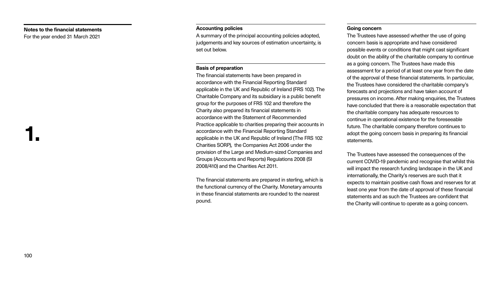### **Notes to the financial statements**

For the year ended 31 March 2021

### **Accounting policies**

A summary of the principal accounting policies adopted, judgements and key sources of estimation uncertainty, is set out below.

### **Basis of preparation**

The financial statements have been prepared in accordance with the Financial Reporting Standard applicable in the UK and Republic of Ireland (FRS 102). The Charitable Company and its subsidiary is a public benefit group for the purposes of FRS 102 and therefore the Charity also prepared its financial statements in accordance with the Statement of Recommended Practice applicable to charities preparing their accounts in accordance with the Financial Reporting Standard applicable in the UK and Republic of Ireland (The FRS 102 Charities SORP), the Companies Act 2006 under the provision of the Large and Medium-sized Companies and Groups (Accounts and Reports) Regulations 2008 (SI 2008/410) and the Charities Act 2011.

The financial statements are prepared in sterling, which is the functional currency of the Charity. Monetary amounts in these financial statements are rounded to the nearest pound.

#### **Going concern**

The Trustees have assessed whether the use of going concern basis is appropriate and have considered possible events or conditions that might cast significant doubt on the ability of the charitable company to continue as a going concern. The Trustees have made this assessment for a period of at least one year from the date of the approval of these financial statements. In particular, the Trustees have considered the charitable company's forecasts and projections and have taken account of pressures on income. After making enquiries, the Trustees have concluded that there is a reasonable expectation that the charitable company has adequate resources to continue in operational existence for the foreseeable future. The charitable company therefore continues to adopt the going concern basis in preparing its financial statements.

The Trustees have assessed the consequences of the current COVID-19 pandemic and recognise that whilst this will impact the research funding landscape in the UK and internationally, the Charity's reserves are such that it expects to maintain positive cash flows and reserves for at least one year from the date of approval of these financial statements and as such the Trustees are confident that the Charity will continue to operate as a going concern.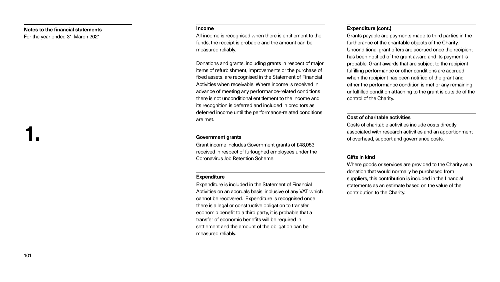#### **Income**

All income is recognised when there is entitlement to the funds, the receipt is probable and the amount can be measured reliably.

Donations and grants, including grants in respect of major items of refurbishment, improvements or the purchase of fixed assets, are recognised in the Statement of Financial Activities when receivable. Where income is received in advance of meeting any performance-related conditions there is not unconditional entitlement to the income and its recognition is deferred and included in creditors as deferred income until the performance-related conditions are met.

### **Government grants**

Grant income includes Government grants of £48,053 received in respect of furloughed employees under the Coronavirus Job Retention Scheme.

### **Expenditure**

Expenditure is included in the Statement of Financial Activities on an accruals basis, inclusive of any VAT which cannot be recovered. Expenditure is recognised once there is a legal or constructive obligation to transfer economic benefit to a third party, it is probable that a transfer of economic benefits will be required in settlement and the amount of the obligation can be measured reliably.

### **Notes to the financial statements**

For the year ended 31 March 2021

#### **Expenditure (cont.)**

Grants payable are payments made to third parties in the furtherance of the charitable objects of the Charity. Unconditional grant offers are accrued once the recipient has been notified of the grant award and its payment is probable. Grant awards that are subject to the recipient fulfilling performance or other conditions are accrued when the recipient has been notified of the grant and either the performance condition is met or any remaining unfulfilled condition attaching to the grant is outside of the control of the Charity.

### **Cost of charitable activities**

Costs of charitable activities include costs directly associated with research activities and an apportionment of overhead, support and governance costs.

### **Gifts in kind**

Where goods or services are provided to the Charity as a donation that would normally be purchased from suppliers, this contribution is included in the financial statements as an estimate based on the value of the contribution to the Charity.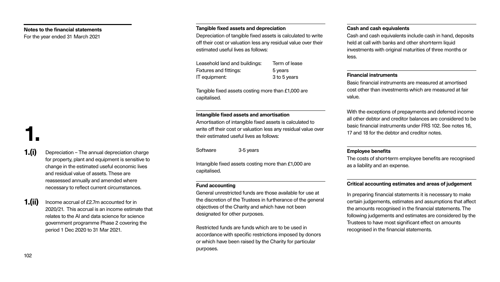### **Intangible fixed assets and amortisation**

Amortisation of intangible fixed assets is calcul write off their cost or valuation less any residual their estimated useful lives as follows:

Software 3-5 years

Intangible fixed assets costing more than £1,00 capitalised.

General unrestricted funds are those available the discretion of the Trustees in furtherance of objectives of the Charity and which have not be designated for other purposes.

### **Fund accounting**

Restricted funds are funds which are to be use accordance with specific restrictions imposed or which have been raised by the Charity for pa purposes.

Depreciation of tangible fixed assets is calculat off their cost or valuation less any residual value estimated useful lives as follows:

|                                  | <b>Cash and cash equivalents</b>                                                                                                                                                                                                              |
|----------------------------------|-----------------------------------------------------------------------------------------------------------------------------------------------------------------------------------------------------------------------------------------------|
| ted to write<br>e over their     | Cash and cash equivalents include cash in hand, deposits<br>held at call with banks and other short-term liquid                                                                                                                               |
|                                  | investments with original maturities of three months or<br>less.                                                                                                                                                                              |
| sе                               |                                                                                                                                                                                                                                               |
|                                  | <b>Financial instruments</b>                                                                                                                                                                                                                  |
| ) are                            | Basic financial instruments are measured at amortised<br>cost other than investments which are measured at fair<br>value.                                                                                                                     |
|                                  | With the exceptions of prepayments and deferred income                                                                                                                                                                                        |
| lated to<br>il value over        | all other debtor and creditor balances are considered to be<br>basic financial instruments under FRS 102. See notes 16,<br>17 and 18 for the debtor and creditor notes.                                                                       |
|                                  | <b>Employee benefits</b>                                                                                                                                                                                                                      |
| 00 are                           | The costs of short-term employee benefits are recognised<br>as a liability and an expense.                                                                                                                                                    |
|                                  | <b>Critical accounting estimates and areas of judgement</b>                                                                                                                                                                                   |
| for use at<br>the general<br>een | In preparing financial statements it is necessary to make<br>certain judgements, estimates and assumptions that affect<br>the amounts recognised in the financial statements. The<br>following judgements and estimates are considered by the |
| d in!<br>by donors<br>articular  | Trustees to have most significant effect on amounts<br>recognised in the financial statements.                                                                                                                                                |

Tangible fixed assets costing more than £1,000 capitalised.

**1.(ii)** Income accrual of £2.7m accounted for in 2020/21. This accrual is an income estimate that relates to the AI and data science for science government programme Phase 2 covering the period 1 Dec 2020 to 31 Mar 2021.

### **Notes to the financial statements**

For the year ended 31 March 2021

**1.(i)** Depreciation – The annual depreciation charge for property, plant and equipment is sensitive to change in the estimated useful economic lives and residual value of assets. These are reassessed annually and amended where necessary to reflect current circumstances.

### **Tangible fixed assets and depreciation**

| Leasehold land and buildings: | Term of lease |
|-------------------------------|---------------|
| <b>Fixtures and fittings:</b> | 5 years       |
| IT equipment:                 | 3 to 5 years  |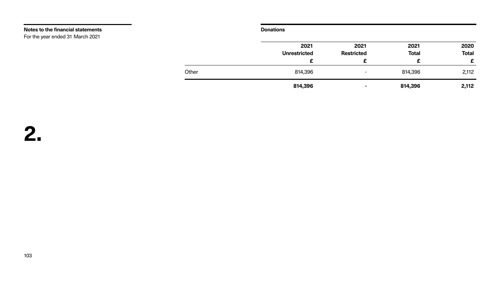### **Donations**

|       | 2021                | 2021              | 2021         | 2020         |
|-------|---------------------|-------------------|--------------|--------------|
|       | <b>Unrestricted</b> | <b>Restricted</b> | <b>Total</b> | <b>Total</b> |
|       | £                   | £                 | £            | £            |
| Other | 814,396             | $\blacksquare$    | 814,396      | 2,112        |
|       | 814,396             | $\sim$            | 814,396      | 2,112        |

**Notes to the financial statements**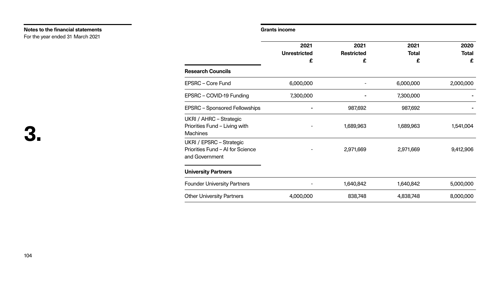### **Grants income**

### $Unrestrict$

| <b>Research Councils</b>                                                                                                                                             |           |
|----------------------------------------------------------------------------------------------------------------------------------------------------------------------|-----------|
| EPSRC – Core Fund                                                                                                                                                    | 6,000,000 |
| EPSRC - COVID-19 Funding                                                                                                                                             | 7,300,000 |
| <b>EPSRC – Sponsored Fellowships</b>                                                                                                                                 |           |
| <b>UKRI / AHRC - Strategic</b><br>Priorities Fund - Living with<br><b>Machines</b><br>UKRI / EPSRC – Strategic<br>Priorities Fund - AI for Science<br>and Government |           |
| <b>University Partners</b>                                                                                                                                           |           |
| <b>Founder University Partners</b>                                                                                                                                   |           |
| <b>Other University Partners</b>                                                                                                                                     | 4,000,000 |

| 2021<br><b>Unrestricted</b> | 2021              | 2021         | 2020         |
|-----------------------------|-------------------|--------------|--------------|
|                             | <b>Restricted</b> | <b>Total</b> | <b>Total</b> |
| £                           | £                 | £            | £            |
|                             |                   |              |              |
| 6,000,000                   |                   | 6,000,000    | 2,000,000    |
| 7,300,000                   |                   | 7,300,000    |              |
|                             | 987,692           | 987,692      |              |
|                             | 1,689,963         | 1,689,963    | 1,541,004    |
|                             | 2,971,669         | 2,971,669    | 9,412,906    |
|                             |                   |              |              |
|                             | 1,640,842         | 1,640,842    | 5,000,000    |
| 4,000,000                   | 838,748           | 4,838,748    | 8,000,000    |
|                             |                   |              |              |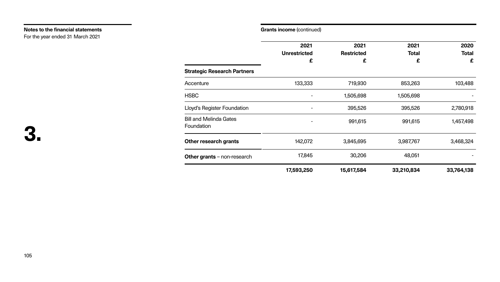|                                                    | 2021<br><b>Unrestricted</b> | 2021<br><b>Restricted</b> | 2021<br><b>Total</b> | 2020<br><b>Total</b> |
|----------------------------------------------------|-----------------------------|---------------------------|----------------------|----------------------|
| <b>Strategic Research Partners</b>                 | £                           | £                         | £                    | £                    |
| Accenture                                          | 133,333                     | 719,930                   | 853,263              | 103,488              |
| <b>HSBC</b>                                        |                             | 1,505,698                 | 1,505,698            |                      |
| <b>Lloyd's Register Foundation</b>                 |                             | 395,526                   | 395,526              | 2,780,918            |
| <b>Bill and Melinda Gates</b><br><b>Foundation</b> |                             | 991,615                   | 991,615              | 1,457,498            |
| <b>Other research grants</b>                       | 142,072                     | 3,845,695                 | 3,987,767            | 3,468,324            |
| Other grants - non-research                        | 17,845                      | 30,206                    | 48,051               |                      |
|                                                    | 17,593,250                  | 15,617,584                | 33,210,834           | 33,764,138           |

| <b>Strategic Research Partners</b>   |            |
|--------------------------------------|------------|
| Accenture                            | 133,333    |
| <b>HSBC</b>                          |            |
| Lloyd's Register Foundation          |            |
| Bill and Melinda Gates<br>Foundation |            |
| <b>Other research grants</b>         | 142,072    |
| <b>Other grants</b> $-$ non-research | 17,84!     |
|                                      | 17,593,250 |

### **Notes to the financial statements**

For the year ended 31 March 2021

### **Grants income** (continued)

### $Unrestrict$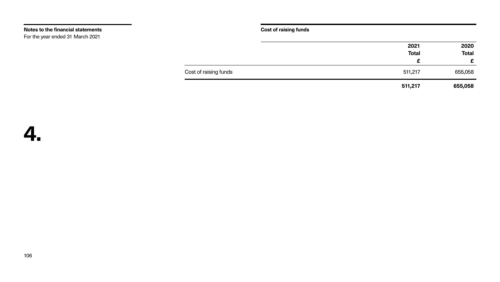**Cost of raising funds**

Cost of raising funds

## **4.**

| 2020         | 2021         |
|--------------|--------------|
| <b>Total</b> | <b>Total</b> |
| £            | £            |
| 655,058      | 511,217      |
| 655,058      | 511,217      |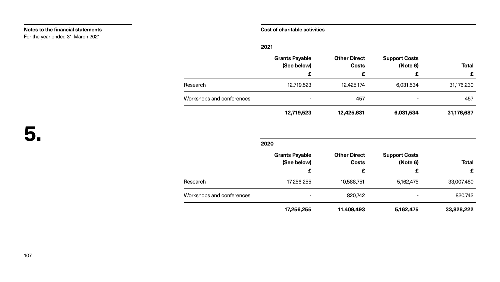### **Cost of charitable activities**

### **Grants Payab (See below)**

**5.**

**2021**

|                           | <b>Grants Payable</b><br>(See below) | <b>Other Direct</b><br><b>Costs</b> | <b>Support Costs</b><br>(Note 6) | <b>Total</b> |
|---------------------------|--------------------------------------|-------------------------------------|----------------------------------|--------------|
|                           | £                                    | £                                   | £                                | £            |
| Research                  | 12,719,523                           | 12,425,174                          | 6,031,534                        | 31,176,230   |
| Workshops and conferences | $\blacksquare$                       | 457                                 |                                  | 457          |
|                           | 12,719,523                           | 12,425,631                          | 6,031,534                        | 31,176,687   |

**2020**

|                           | <b>Grants Payable</b><br>(See below)<br>£ | <b>Other Direct</b><br><b>Costs</b> | <b>Support Costs</b><br>(Note 6) | <b>Total</b><br>£ |
|---------------------------|-------------------------------------------|-------------------------------------|----------------------------------|-------------------|
|                           |                                           | £                                   | £                                |                   |
| Research                  | 17,256,255                                | 10,588,751                          | 5,162,475                        | 33,007,480        |
| Workshops and conferences | $\blacksquare$                            | 820,742                             |                                  | 820,742           |
|                           | 17,256,255                                | 11,409,493                          | 5,162,475                        | 33,828,222        |

**17,256,255 11,409,493 5,162,475 33,828,222**

### **Notes to the financial statements**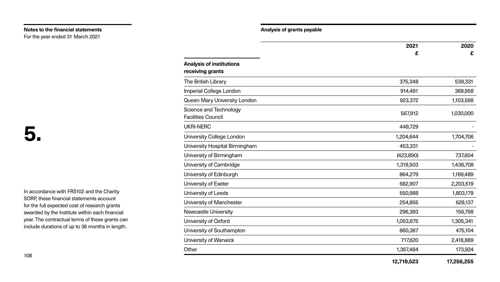In accordance with FRS102 and the Charity SORP, these financial statements account for the full expected cost of research grants awarded by the Institute within each financial year. The contractual terms of these grants can include durations of up to 36 months in length.

|                                                     | 2021       | 2020       |
|-----------------------------------------------------|------------|------------|
|                                                     | £          | £          |
| <b>Analysis of institutions</b>                     |            |            |
| receiving grants                                    |            |            |
| The British Library                                 | 375,348    | 539,331    |
| <b>Imperial College London</b>                      | 914,491    | 369,958    |
| <b>Queen Mary University London</b>                 | 923,372    | 1,103,568  |
| Science and Technology<br><b>Facilities Council</b> | 567,912    | 1,030,000  |
| <b>UKRI-NERC</b>                                    | 448,729    |            |
| <b>University College London</b>                    | 1,204,644  | 1,704,706  |
| University Hospital Birmingham                      | 453,331    |            |
| University of Birmingham                            | (423,890)  | 737,604    |
| <b>University of Cambridge</b>                      | 1,318,503  | 1,436,708  |
| University of Edinburgh                             | 864,279    | 1,169,489  |
| University of Exeter                                | 682,907    | 2,203,519  |
| University of Leeds                                 | 550,988    | 1,803,179  |
| University of Manchester                            | 254,855    | 628,137    |
| <b>Newcastle University</b>                         | 296,393    | 156,798    |
| University of Oxford                                | 1,053,675  | 1,305,341  |
| University of Southampton                           | 860,387    | 475,104    |
| University of Warwick                               | 717,620    | 2,418,889  |
| Other                                               | 1,367,484  | 173,924    |
|                                                     | 12,719,523 | 17,256,255 |

### **Notes to the financial statements**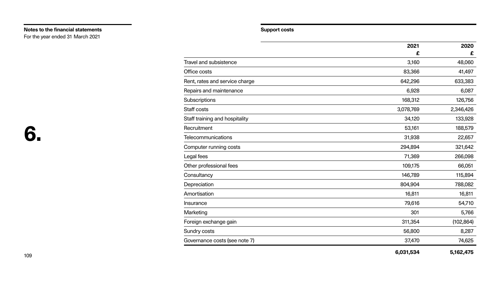### **Support costs**

| <b>Travel and subsistence</b>  |  |
|--------------------------------|--|
| Office costs                   |  |
| Rent, rates and service charge |  |
| Repairs and maintenance        |  |
| Subscriptions                  |  |
| Staff costs                    |  |
| Staff training and hospitality |  |
| Recruitment                    |  |
| <b>Telecommunications</b>      |  |
| <b>Computer running costs</b>  |  |
| Legal fees                     |  |
| Other professional fees        |  |
| Consultancy                    |  |
| Depreciation                   |  |
| Amortisation                   |  |
| Insurance                      |  |
| Marketing                      |  |
| Foreign exchange gain          |  |
| Sundry costs                   |  |
| Governance costs (see note 7)  |  |

# **6.**

|                                | 2021      | 2020       |
|--------------------------------|-----------|------------|
|                                | £         | £          |
| <b>Travel and subsistence</b>  | 3,160     | 48,060     |
| Office costs                   | 83,366    | 41,497     |
| Rent, rates and service charge | 642,296   | 633,383    |
| Repairs and maintenance        | 6,928     | 6,087      |
| <b>Subscriptions</b>           | 168,312   | 126,756    |
| <b>Staff costs</b>             | 3,078,769 | 2,346,426  |
| Staff training and hospitality | 34,120    | 133,928    |
| Recruitment                    | 53,161    | 188,579    |
| <b>Telecommunications</b>      | 31,938    | 22,657     |
| Computer running costs         | 294,894   | 321,642    |
| Legal fees                     | 71,369    | 266,098    |
| Other professional fees        | 109,175   | 66,051     |
| Consultancy                    | 146,789   | 115,894    |
| Depreciation                   | 804,904   | 788,082    |
| Amortisation                   | 16,811    | 16,811     |
| Insurance                      | 79,616    | 54,710     |
| Marketing                      | 301       | 5,766      |
| Foreign exchange gain          | 311,354   | (102, 864) |
| <b>Sundry costs</b>            | 56,800    | 8,287      |
| Governance costs (see note 7)  | 37,470    | 74,625     |
|                                | 6,031,534 | 5,162,475  |

### **Notes to the financial statements**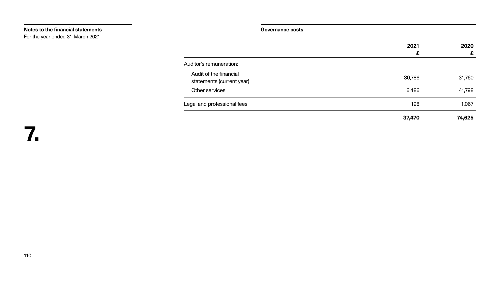**Governance costs**

**7.**

Audit of the financial statements (current year)

Other services

Legal and professional fees

Auditor's remuneration:

| 2021   | 2020   |
|--------|--------|
| £      | £      |
|        |        |
|        |        |
| 30,786 | 31,760 |
|        |        |
| 6,486  | 41,798 |
| 198    | 1,067  |
|        |        |
| 37,470 | 74,625 |

### **Notes to the financial statements**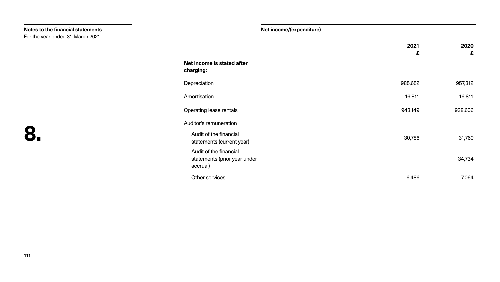| diture) |
|---------|
|---------|

Depreciation

|                                                                    | 2021    | 2020    |
|--------------------------------------------------------------------|---------|---------|
| Net income is stated after<br>charging:                            | £       | £       |
| Depreciation                                                       | 985,652 | 957,312 |
| Amortisation                                                       | 16,811  | 16,811  |
| <b>Operating lease rentals</b>                                     | 943,149 | 938,606 |
| <b>Auditor's remuneration</b>                                      |         |         |
| Audit of the financial<br>statements (current year)                | 30,786  | 31,760  |
| Audit of the financial<br>statements (prior year under<br>accrual) |         | 34,734  |
| Other services                                                     | 6,486   | 7,064   |

### **Notes to the financial statements**

For the year ended 31 March 2021

**Net income/(expend**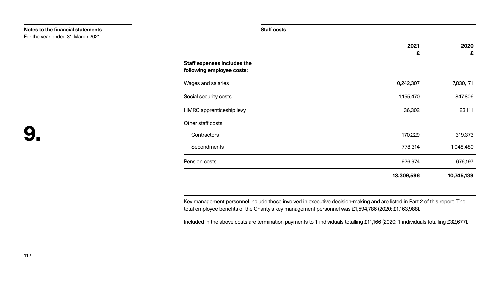**Staff costs**

| <b>Staff expenses includes the</b><br>following employee costs: |  |
|-----------------------------------------------------------------|--|
| Wages and salaries                                              |  |
| Social security costs                                           |  |
| HMRC apprenticeship levy                                        |  |
| Other staff costs                                               |  |
| Contractors                                                     |  |
| Secondments                                                     |  |
| Pension costs                                                   |  |

# **9.**

|                                                                 | 2021       | 2020       |
|-----------------------------------------------------------------|------------|------------|
|                                                                 | £          | £          |
| <b>Staff expenses includes the</b><br>following employee costs: |            |            |
| <b>Wages and salaries</b>                                       | 10,242,307 | 7,830,171  |
| Social security costs                                           | 1,155,470  | 847,806    |
| <b>HMRC</b> apprenticeship levy                                 | 36,302     | 23,111     |
| Other staff costs                                               |            |            |
| Contractors                                                     | 170,229    | 319,373    |
| <b>Secondments</b>                                              | 778,314    | 1,048,480  |
| Pension costs                                                   | 926,974    | 676,197    |
|                                                                 | 13,309,596 | 10,745,139 |

Key management personnel include those involved in executive decision-making and are listed in Part 2 of this report. The total employee benefits of the Charity's key management personnel was £1,594,786 (2020: £1,163,988).

Included in the above costs are termination payments to 1 individuals totalling £11,166 (2020: 1 individuals totalling £32,677).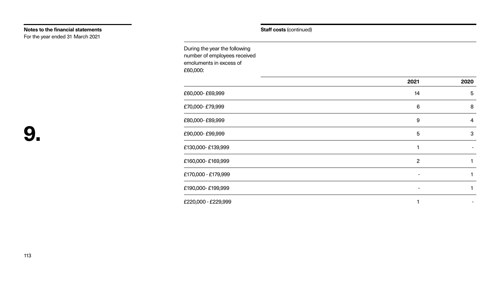During the year the following number of employees received emoluments in excess of £60,000:

| £60,000-£69,999 |  |
|-----------------|--|
|-----------------|--|

£220,000 - £229,999

|                     | 2021                     | 2020            |
|---------------------|--------------------------|-----------------|
| £60,000-£69,999     | 14                       | $5\overline{)}$ |
| £70,000-£79,999     | 6                        | 8               |
| £80,000-£89,999     | 9                        | $\overline{4}$  |
| £90,000-£99,999     | 5                        | 3               |
| £130,000-£139,999   |                          |                 |
| £160,000-£169,999   | $\overline{2}$           |                 |
| £170,000 - £179,999 |                          |                 |
| £190,000-£199,999   | $\overline{\phantom{0}}$ |                 |
| £220,000 - £229,999 |                          |                 |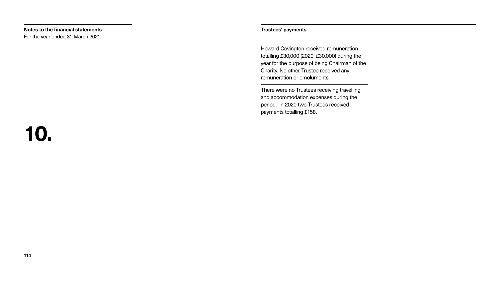### **Trustees' payments**

# **10.**

Howard Covington received remuneration totalling £30,000 (2020: £30,000) during the year for the purpose of being Chairman of the Charity. No other Trustee received any remuneration or emoluments.

There were no Trustees receiving travelling and accommodation expenses during the period. In 2020 two Trustees received payments totalling £158.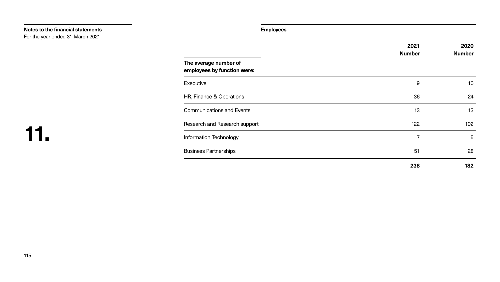**Employees**

# **11.**

|                                                      | 2021           | 2020            |
|------------------------------------------------------|----------------|-----------------|
|                                                      | <b>Number</b>  | <b>Number</b>   |
| The average number of<br>employees by function were: |                |                 |
| <b>Executive</b>                                     | 9              | 10 <sup>°</sup> |
| HR, Finance & Operations                             | 36             | 24              |
| <b>Communications and Events</b>                     | 13             | 13              |
| Research and Research support                        | 122            | 102             |
| <b>Information Technology</b>                        | $\overline{7}$ | $5\overline{)}$ |
| <b>Business Partnerships</b>                         | 51             | 28              |
|                                                      | 238            | 182             |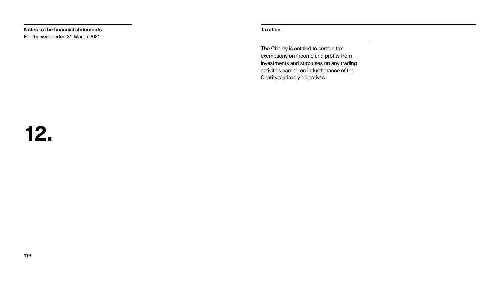**Taxation**

### **12.**

The Charity is entitled to certain tax exemptions on income and profits from investments and surpluses on any trading activities carried on in furtherance of the Charity's primary objectives.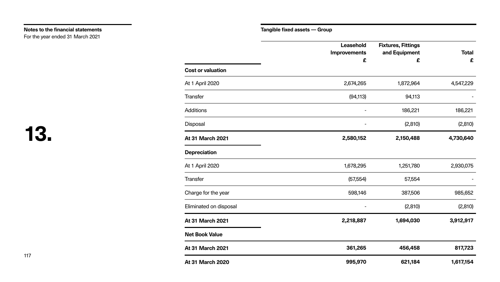**Tangible fixed assets — Group**

|                          | Leasehold<br><b>Improvements</b><br>£ | <b>Fixtures, Fittings</b><br>and Equipment<br>£ | <b>Total</b><br>£ |
|--------------------------|---------------------------------------|-------------------------------------------------|-------------------|
| <b>Cost or valuation</b> |                                       |                                                 |                   |
| At 1 April 2020          | 2,674,265                             | 1,872,964                                       | 4,547,229         |
| Transfer                 | (94, 113)                             | 94,113                                          |                   |
| <b>Additions</b>         |                                       | 186,221                                         | 186,221           |
| <b>Disposal</b>          |                                       | (2, 810)                                        | (2,810)           |
| <b>At 31 March 2021</b>  | 2,580,152                             | 2,150,488                                       | 4,730,640         |
| <b>Depreciation</b>      |                                       |                                                 |                   |
| <b>At 1 April 2020</b>   | 1,678,295                             | 1,251,780                                       | 2,930,075         |
| <b>Transfer</b>          | (57, 554)                             | 57,554                                          |                   |
| Charge for the year      | 598,146                               | 387,506                                         | 985,652           |
| Eliminated on disposal   |                                       | (2,810)                                         | (2,810)           |
| At 31 March 2021         | 2,218,887                             | 1,694,030                                       | 3,912,917         |
| <b>Net Book Value</b>    |                                       |                                                 |                   |
| <b>At 31 March 2021</b>  | 361,265                               | 456,458                                         | 817,723           |
| <b>At 31 March 2020</b>  | 995,970                               | 621,184                                         | 1,617,154         |

| <b>Cost or valuation</b> |  |
|--------------------------|--|
| <b>At 1 April 2020</b>   |  |
| <b>Transfer</b>          |  |
| <b>Additions</b>         |  |
| Disposal                 |  |
| <b>At 31 March 2021</b>  |  |
| <b>Depreciation</b>      |  |
| At 1 April 2020          |  |
| <b>Transfer</b>          |  |
| Charge for the year      |  |
| Eliminated on disposal   |  |
| <b>At 31 March 2021</b>  |  |
| <b>Net Book Value</b>    |  |
| <b>At 31 March 2021</b>  |  |
| <b>At 31 March 2020</b>  |  |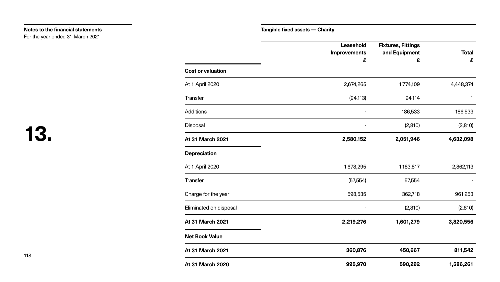|                          | <b>Leasehold</b><br><b>Improvements</b><br>£ | <b>Fixtures, Fittings</b><br>and Equipment<br>£ | <b>Total</b><br>£ |
|--------------------------|----------------------------------------------|-------------------------------------------------|-------------------|
| <b>Cost or valuation</b> |                                              |                                                 |                   |
| At 1 April 2020          | 2,674,265                                    | 1,774,109                                       | 4,448,374         |
| <b>Transfer</b>          | (94, 113)                                    | 94,114                                          | 1                 |
| <b>Additions</b>         |                                              | 186,533                                         | 186,533           |
| <b>Disposal</b>          |                                              | (2, 810)                                        | (2,810)           |
| At 31 March 2021         | 2,580,152                                    | 2,051,946                                       | 4,632,098         |
| <b>Depreciation</b>      |                                              |                                                 |                   |
| At 1 April 2020          | 1,678,295                                    | 1,183,817                                       | 2,862,113         |
| <b>Transfer</b>          | (57, 554)                                    | 57,554                                          |                   |
| Charge for the year      | 598,535                                      | 362,718                                         | 961,253           |
| Eliminated on disposal   |                                              | (2,810)                                         | (2, 810)          |
| <b>At 31 March 2021</b>  | 2,219,276                                    | 1,601,279                                       | 3,820,556         |
| <b>Net Book Value</b>    |                                              |                                                 |                   |
| <b>At 31 March 2021</b>  | 360,876                                      | 450,667                                         | 811,542           |
| <b>At 31 March 2020</b>  | 995,970                                      | 590,292                                         | 1,586,261         |

| <b>Cost or valuation</b> |  |
|--------------------------|--|
| At 1 April 2020          |  |
| <b>Transfer</b>          |  |
| <b>Additions</b>         |  |
| Disposal                 |  |
| <b>At 31 March 2021</b>  |  |
| <b>Depreciation</b>      |  |
| At 1 April 2020          |  |
| <b>Transfer</b>          |  |
| Charge for the year      |  |
| Eliminated on disposal   |  |
| <b>At 31 March 2021</b>  |  |
| <b>Net Book Value</b>    |  |
| <b>At 31 March 2021</b>  |  |
| <b>At 31 March 2020</b>  |  |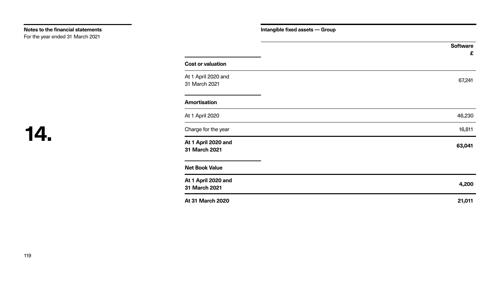**Intangible fixed assets — Group**

### **14.**

### **Cost or valuation**

### **Amortisation**

|                                      | <b>Software</b><br>£ |
|--------------------------------------|----------------------|
| <b>Cost or valuation</b>             |                      |
| At 1 April 2020 and<br>31 March 2021 | 67,241               |
| <b>Amortisation</b>                  |                      |
| At 1 April 2020                      | 46,230               |
| Charge for the year                  | 16,811               |
| At 1 April 2020 and<br>31 March 2021 | 63,041               |
| <b>Net Book Value</b>                |                      |
| At 1 April 2020 and<br>31 March 2021 | 4,200                |
| <b>At 31 March 2020</b>              | 21,011               |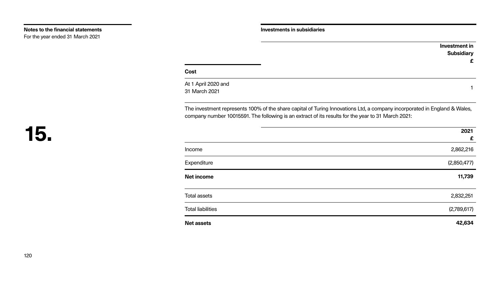At 1 April 2020 and  $31$  March 2021  $\overline{a}$  1

### **Investment in Subsidiary £**

### **Cost**

The investment represents 100% of the share capital of Turing Innovations Ltd, a company incorporated in England & Wales, company number 10015591. The following is an extract of its results for the year to 31 March 2021:

**Total liabilities** 

|                          | 2021        |
|--------------------------|-------------|
|                          | £           |
| Income                   | 2,862,216   |
| Expenditure              | (2,850,477) |
| <b>Net income</b>        | 11,739      |
|                          |             |
| <b>Total assets</b>      | 2,832,251   |
| <b>Total liabilities</b> | (2,789,617) |
| <b>Net assets</b>        | 42,634      |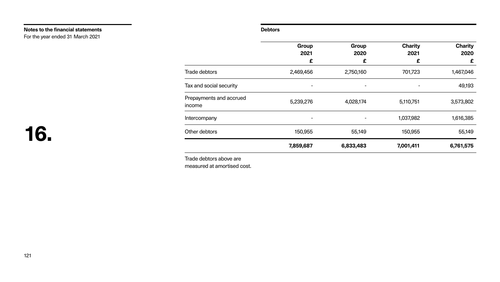### **Debtors**

|                                   | וכ      |
|-----------------------------------|---------|
| <b>Trade debtors</b>              | 2,469,4 |
| Tax and social security           |         |
| Prepayments and accrued<br>income | 5,239,  |
| Intercompany                      |         |
| Other debtors                     | 150,    |
|                                   | 7,859,  |

|                                   | Group<br>2021<br>£ | Group<br>2020<br>£ | <b>Charity</b><br>2021<br>£ | <b>Charity</b><br>2020<br>£ |
|-----------------------------------|--------------------|--------------------|-----------------------------|-----------------------------|
| <b>Trade debtors</b>              | 2,469,456          | 2,750,160          | 701,723                     | 1,467,046                   |
| Tax and social security           | $\blacksquare$     |                    |                             | 49,193                      |
| Prepayments and accrued<br>income | 5,239,276          | 4,028,174          | 5,110,751                   | 3,573,802                   |
| Intercompany                      | -                  |                    | 1,037,982                   | 1,616,385                   |
| Other debtors                     | 150,955            | 55,149             | 150,955                     | 55,149                      |
|                                   | 7,859,687          | 6,833,483          | 7,001,411                   | 6,761,575                   |

Trade debtors above are measured at amortised cost.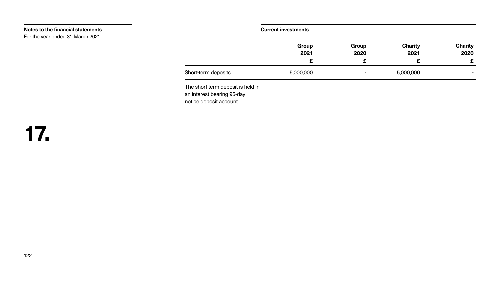| ments |  |  |
|-------|--|--|
|       |  |  |
|       |  |  |
|       |  |  |

|                     | Group     | Group                    | <b>Charity</b> | <b>Charity</b> |
|---------------------|-----------|--------------------------|----------------|----------------|
|                     | 2021      | 2020                     | 2021           | 2020           |
|                     |           |                          |                | -              |
| Short-term deposits | 5,000,000 | $\overline{\phantom{0}}$ | 5,000,000      | $\sim$         |

|                                                                                            | Grou<br>202 |
|--------------------------------------------------------------------------------------------|-------------|
| Short-term deposits                                                                        | 5,000,00    |
| The short-term deposit is held in<br>an interest bearing 95-day<br>notice deposit account. |             |

### **Notes to the financial statements** For the year ended 31 March 2021

### **Current invest**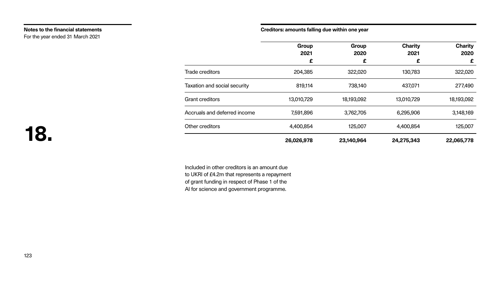### **Creditors: amounts falling due within one year**

| Grc |
|-----|
| 20  |

|                              | 26,026,9 |
|------------------------------|----------|
| Other creditors              | 4,400,8  |
| Accruals and deferred income | 7,591,8  |
| <b>Grant creditors</b>       | 13,010,7 |
| Taxation and social security | 819,7    |
| <b>Trade creditors</b>       | 204,3    |

### **18.**

|                                     | Group<br>2021 | Group<br>2020 | <b>Charity</b><br>2021 | <b>Charity</b><br>2020 |
|-------------------------------------|---------------|---------------|------------------------|------------------------|
|                                     | £             | £             | £                      | £                      |
| <b>Trade creditors</b>              | 204,385       | 322,020       | 130,783                | 322,020                |
| <b>Taxation and social security</b> | 819,114       | 738,140       | 437,071                | 277,490                |
| <b>Grant creditors</b>              | 13,010,729    | 18,193,092    | 13,010,729             | 18,193,092             |
| <b>Accruals and deferred income</b> | 7,591,896     | 3,762,705     | 6,295,906              | 3,148,169              |
| Other creditors                     | 4,400,854     | 125,007       | 4,400,854              | 125,007                |
|                                     | 26,026,978    | 23,140,964    | 24,275,343             | 22,065,778             |

**Notes to the financial statements** For the year ended 31 March 2021

> Included in other creditors is an amount due to UKRI of £4.2m that represents a repayment of grant funding in respect of Phase 1 of the AI for science and government programme.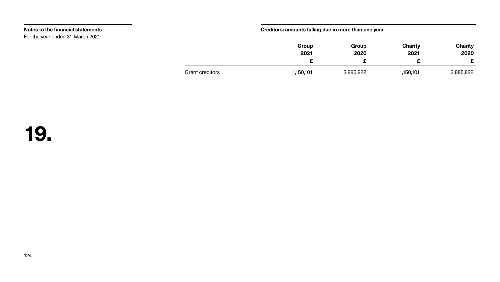### **Creditors: amounts falling due in more than one year**

Grant creditors 1,150,1

| Group  | Group     | <b>Charity</b> | <b>Charity</b> |
|--------|-----------|----------------|----------------|
| 2021   | 2020      | 2021           | 2020           |
|        | F         |                |                |
| 50,101 | 3,885,822 | 1,150,101      | 3,885,822      |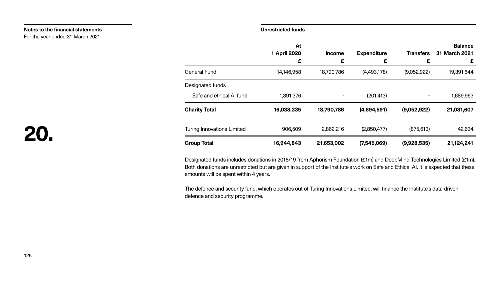### **Unrestricted funds**

|                                   | At<br><b>1 April 2020</b><br>£ |
|-----------------------------------|--------------------------------|
| <b>General Fund</b>               | 14,146,958                     |
| Designated funds                  |                                |
| Safe and ethical AI fund          | 1,891,376                      |
| <b>Charity Total</b>              | 16,038,335                     |
| <b>Turing Innovations Limited</b> | 906,509                        |
| <b>Group Total</b>                | 16,944,843                     |

# **20.**

|                                   | At                  |                              |                    |                  | <b>Balance</b> |
|-----------------------------------|---------------------|------------------------------|--------------------|------------------|----------------|
|                                   | <b>1 April 2020</b> | <b>Income</b>                | <b>Expenditure</b> | <b>Transfers</b> | 31 March 2021  |
|                                   | £                   | £                            | £                  | £                | £              |
| <b>General Fund</b>               | 14,146,958          | 18,790,786                   | (4,493,178)        | (9,052,922)      | 19,391,644     |
| Designated funds                  |                     |                              |                    |                  |                |
| Safe and ethical AI fund          | 1,891,376           | $\qquad \qquad \blacksquare$ | (201, 413)         |                  | 1,689,963      |
| <b>Charity Total</b>              | 16,038,335          | 18,790,786                   | (4,694,591)        | (9,052,922)      | 21,081,607     |
| <b>Turing Innovations Limited</b> | 906,509             | 2,862,216                    | (2,850,477)        | (875, 613)       | 42,634         |
| <b>Group Total</b>                | 16,944,843          | 21,653,002                   | (7,545,069)        | (9,928,535)      | 21,124,241     |

Designated funds includes donations in 2018/19 from Aphorism Foundation (£1m) and DeepMind Technologies Limited (£1m). Both donations are unrestricted but are given in support of the Institute's work on Safe and Ethical AI. It is expected that these amounts will be spent within 4 years.

**Notes to the financial statements** For the year ended 31 March 2021

> The defence and security fund, which operates out of Turing Innovations Limited, will finance the Institute's data-driven defence and security programme.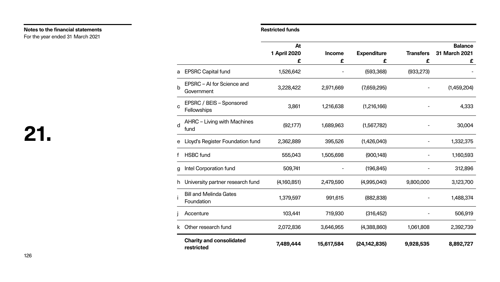|                         |                                                | At<br><b>1 April 2020</b> | <b>Income</b> | <b>Expenditure</b> | <b>Transfers</b> | <b>Balance</b><br>31 March 2021 |
|-------------------------|------------------------------------------------|---------------------------|---------------|--------------------|------------------|---------------------------------|
|                         | a EPSRC Capital fund                           | £<br>1,526,642            | £             | £<br>(593, 368)    | £<br>(933, 273)  | £                               |
| $\mathsf{b}$            | EPSRC – AI for Science and<br>Government       | 3,228,422                 | 2,971,669     | (7,659,295)        |                  | (1,459,204)                     |
| C                       | <b>EPSRC / BEIS - Sponsored</b><br>Fellowships | 3,861                     | 1,216,638     | (1,216,166)        |                  | 4,333                           |
| $\overline{\mathsf{d}}$ | AHRC - Living with Machines<br>fund            | (92, 177)                 | 1,689,963     | (1,567,782)        |                  | 30,004                          |
|                         | e Lloyd's Register Foundation fund             | 2,362,889                 | 395,526       | (1,426,040)        |                  | 1,332,375                       |
|                         | <b>HSBC</b> fund                               | 555,043                   | 1,505,698     | (900, 148)         |                  | 1,160,593                       |
|                         | g Intel Corporation fund                       | 509,741                   |               | (196, 845)         |                  | 312,896                         |
|                         | h University partner research fund             | (4,160,851)               | 2,479,590     | (4,995,040)        | 9,800,000        | 3,123,700                       |
|                         | <b>Bill and Melinda Gates</b><br>Foundation    | 1,379,597                 | 991,615       | (882, 838)         |                  | 1,488,374                       |
|                         | Accenture                                      | 103,441                   | 719,930       | (316, 452)         |                  | 506,919                         |
|                         | k Other research fund                          | 2,072,836                 | 3,646,955     | (4,388,860)        | 1,061,808        | 2,392,739                       |
|                         | <b>Charity and consolidated</b>                | 7,489,444                 | 15,617,584    | (24, 142, 835)     | 9,928,535        | 8,892,727                       |

|                         |                                                       | At                  |               |                    |                  | <b>Balance</b> |
|-------------------------|-------------------------------------------------------|---------------------|---------------|--------------------|------------------|----------------|
|                         |                                                       | <b>1 April 2020</b> | <b>Income</b> | <b>Expenditure</b> | <b>Transfers</b> | 31 March 2021  |
|                         |                                                       | £                   | £             | £                  | £                | £              |
|                         | a EPSRC Capital fund                                  | 1,526,642           |               | (593, 368)         | (933, 273)       |                |
| $\mathsf b$             | EPSRC – AI for Science and<br>Government              | 3,228,422           | 2,971,669     | (7,659,295)        |                  | (1,459,204)    |
| C                       | <b>EPSRC / BEIS - Sponsored</b><br><b>Fellowships</b> | 3,861               | 1,216,638     | (1,216,166)        |                  | 4,333          |
| $\overline{\mathsf{d}}$ | <b>AHRC - Living with Machines</b><br>fund            | (92, 177)           | 1,689,963     | (1,567,782)        |                  | 30,004         |
|                         | e Lloyd's Register Foundation fund                    | 2,362,889           | 395,526       | (1,426,040)        |                  | 1,332,375      |
|                         | <b>HSBC</b> fund                                      | 555,043             | 1,505,698     | (900, 148)         |                  | 1,160,593      |
|                         | g Intel Corporation fund                              | 509,741             |               | (196, 845)         |                  | 312,896        |
|                         | h University partner research fund                    | (4,160,851)         | 2,479,590     | (4,995,040)        | 9,800,000        | 3,123,700      |
|                         | <b>Bill and Melinda Gates</b><br>Foundation           | 1,379,597           | 991,615       | (882, 838)         |                  | 1,488,374      |
|                         | Accenture                                             | 103,441             | 719,930       | (316, 452)         |                  | 506,919        |
|                         | k Other research fund                                 | 2,072,836           | 3,646,955     | (4,388,860)        | 1,061,808        | 2,392,739      |
|                         | <b>Charity and consolidated</b><br>restricted         | 7,489,444           | 15,617,584    | (24, 142, 835)     | 9,928,535        | 8,892,727      |

### **Notes to the financial statements Restricted funds**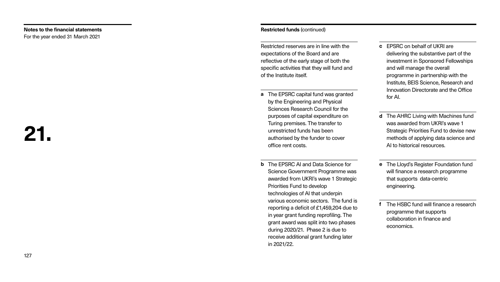### **Restricted funds** (continued)

Restricted reserves are in line with the expectations of the Board and are reflective of the early stage of both the specific activities that they will fund and of the Institute itself.

**a** The EPSRC capital fund was granted Sciences Research Council for the purposes of capital expenditure on authorised by the funder to cover

**b** The EPSRC AI and Data Science for Science Government Programme was awarded from UKRI's wave 1 Strategic various economic sectors. The fund is reporting a deficit of £1,459,204 due to in year grant funding reprofiling. The grant award was split into two phases during 2020/21. Phase 2 is due to

- by the Engineering and Physical Turing premises. The transfer to unrestricted funds has been office rent costs.
- Priorities Fund to develop technologies of AI that underpin receive additional grant funding later in 2021/22.
- **c** EPSRC on behalf of UKRI are delivering the substantive part of the investment in Sponsored Fellowships and will manage the overall programme in partnership with the Institute, BEIS Science, Research and Innovation Directorate and the Office for AI.
- **d** The AHRC Living with Machines fund was awarded from UKRI's wave 1 Strategic Priorities Fund to devise new methods of applying data science and AI to historical resources.
- **e** The Lloyd's Register Foundation fund will finance a research programme that supports data-centric engineering.
- **f** The HSBC fund will finance a research programme that supports collaboration in finance and economics.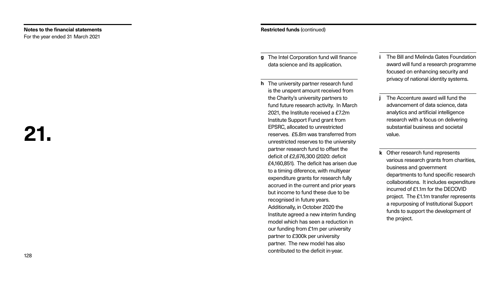### **Restricted funds** (continued)

**g** The Intel Corporation fund will finance

- data science and its application.
- **h** The university partner research fund is the unspent amount received from the Charity's university partners to fund future research activity. In March 2021, the Institute received a £7.2m Institute Support Fund grant from EPSRC, allocated to unrestricted reserves. £5.8m was transferred from unrestricted reserves to the university partner research fund to offset the deficit of £2,676,300 (2020: deficit £4,160,851). The deficit has arisen due to a timing diference, with multiyear expenditure grants for research fully accrued in the current and prior years but income to fund these due to be recognised in future years. Additionally, in October 2020 the Institute agreed a new interim funding model which has seen a reduction in our funding from £1m per university partner to £300k per university partner. The new model has also contributed to the deficit in-year.

- **i** The Bill and Melinda Gates Foundation award will fund a research programme focused on enhancing security and privacy of national identity systems.
- **j** The Accenture award will fund the advancement of data science, data analytics and artificial intelligence research with a focus on delivering substantial business and societal value.
- **k** Other research fund represents various research grants from charities, business and government departments to fund specific research collaborations. It includes expenditure incurred of £1.1m for the DECOVID project. The £1.1m transfer represents a repurposing of Institutional Support funds to support the development of the project.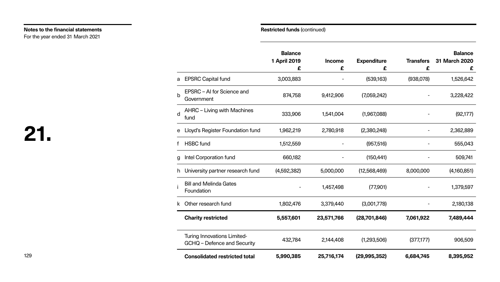|                         |                                                                   | <b>Balance</b><br><b>1 April 2019</b><br>£ | <b>Income</b><br>£ | <b>Expenditure</b><br>£ | <b>Transfers</b><br>£ | <b>Balance</b><br>31 March 2020<br>£ |
|-------------------------|-------------------------------------------------------------------|--------------------------------------------|--------------------|-------------------------|-----------------------|--------------------------------------|
|                         | a EPSRC Capital fund                                              | 3,003,883                                  |                    | (539,163)               | (938,078)             | 1,526,642                            |
| $\mathsf b$             | EPSRC – AI for Science and<br>Government                          | 874,758                                    | 9,412,906          | (7,059,242)             |                       | 3,228,422                            |
| $\overline{\mathsf{d}}$ | AHRC – Living with Machines<br>fund                               | 333,906                                    | 1,541,004          | (1,967,088)             |                       | (92, 177)                            |
|                         | e Lloyd's Register Foundation fund                                | 1,962,219                                  | 2,780,918          | (2,380,248)             |                       | 2,362,889                            |
|                         | <b>HSBC</b> fund                                                  | 1,512,559                                  |                    | (957, 516)              |                       | 555,043                              |
|                         | g Intel Corporation fund                                          | 660,182                                    |                    | (150, 441)              |                       | 509,741                              |
|                         | h University partner research fund                                | (4,592,382)                                | 5,000,000          | (12,568,469)            | 8,000,000             | (4,160,851)                          |
|                         | <b>Bill and Melinda Gates</b><br>Foundation                       |                                            | 1,457,498          | (77,901)                |                       | 1,379,597                            |
| k                       | Other research fund                                               | 1,802,476                                  | 3,379,440          | (3,001,778)             |                       | 2,180,138                            |
|                         | <b>Charity restricted</b>                                         | 5,557,601                                  | 23,571,766         | (28,701,846)            | 7,061,922             | 7,489,444                            |
|                         | <b>Turing Innovations Limited-</b><br>GCHQ – Defence and Security | 432,784                                    | 2,144,408          | (1,293,506)             | (377,177)             | 906,509                              |
|                         | <b>Consolidated restricted total</b>                              | 5,990,385                                  | 25,716,174         | (29, 995, 352)          | 6,684,745             | 8,395,952                            |

### **Notes to the financial statements Restricted funds** (continued) For the year ended 31 March 2021

|    |                                                                   | <b>Balance</b><br>1 April 2019<br>£ |
|----|-------------------------------------------------------------------|-------------------------------------|
| a  | <b>EPSRC Capital fund</b>                                         | 3,003,883                           |
| b  | EPSRC – AI for Science and<br>Government                          | 874,758                             |
| d  | AHRC – Living with Machines<br>fund                               | 333,906                             |
| е  | Lloyd's Register Foundation fund                                  | 1,962,219                           |
| f  | <b>HSBC</b> fund                                                  | 1,512,559                           |
| g  | Intel Corporation fund                                            | 660,182                             |
| h  | University partner research fund                                  | (4,592,382)                         |
|    | <b>Bill and Melinda Gates</b><br>Foundation                       |                                     |
| k. | Other research fund                                               | 1,802,476                           |
|    | <b>Charity restricted</b>                                         | 5,557,601                           |
|    | <b>Turing Innovations Limited-</b><br>GCHQ – Defence and Security | 432,784                             |
|    | <b>Consolidated restricted total</b>                              | 5,990,385                           |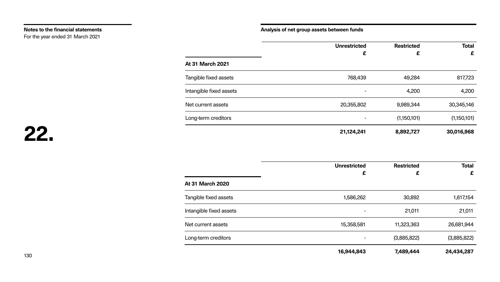### **Analysis of net group assets between funds**

**At 31 March 2021**

Tangible fixed assets

Intangible fixed assets

Net current assets

Long-term creditors

| <b>Total</b><br>£ | <b>Restricted</b><br>£ | <b>Unrestricted</b><br>£ |
|-------------------|------------------------|--------------------------|
| 817,723           | 49,284                 | 768,439                  |
| 4,200             | 4,200                  |                          |
| 30,345,146        | 9,989,344              | 20,355,802               |
| (1,150,101)       | (1,150,101)            |                          |
| 30,016,968        | 8,892,727              | 21,124,241               |

**At 31 March 2020**

Tangible fixed assets

Intangible fixed assets

Net current assets

Long-term creditors

| <b>Total</b><br>£ | <b>Restricted</b><br>£ | <b>Unrestricted</b><br>£ |
|-------------------|------------------------|--------------------------|
|                   |                        |                          |
| 1,617,154         | 30,892                 | 1,586,262                |
| 21,011            | 21,011                 |                          |
| 26,681,944        | 11,323,363             | 15,358,581               |
| (3,885,822)       | (3,885,822)            | -                        |
| 24,434,287        | 7,489,444              | 16,944,843               |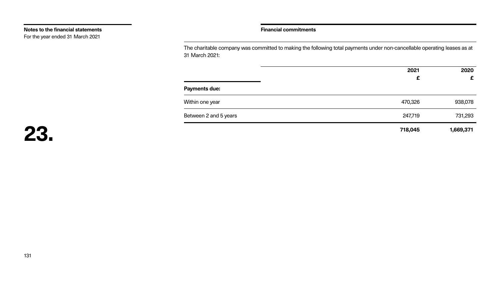The charitable company was committed to making the following total payments under non-cancellable operating leases as at 31 March 2021:

**Payments due:**

Within one year

Between 2 and 5 years

| 2021<br>£ | 2020<br>£ |
|-----------|-----------|
|           |           |
| 470,326   | 938,078   |
| 247,719   | 731,293   |
| 718,045   | 1,669,371 |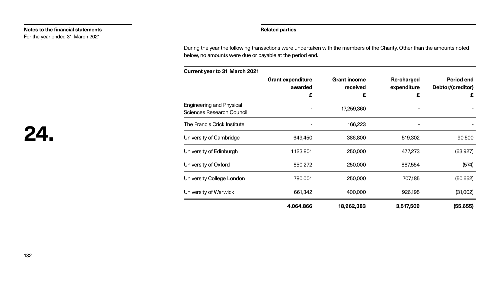### **Related parties**

During the year the following transactions were undertaken with the members of the Charity. Other than the amounts noted below, no amounts were due or payable at the period end.

| <b>Engineering and Physical</b><br>Sciences Research Council |         |
|--------------------------------------------------------------|---------|
| The Francis Crick Institute                                  |         |
| University of Cambridge                                      | 649.4   |
| University of Edinburgh                                      | 1,123,8 |
| University of Oxford                                         | 850,2   |
| University College London                                    | 780,0   |
| University of Warwick                                        | 661.3   |
|                                                              |         |

 $4,064,86$ 

### **Current year to 31 March 2021**

|                                                                     | <b>Grant expenditure</b><br>awarded | <b>Grant income</b><br>received | <b>Re-charged</b><br>expenditure | <b>Period end</b><br>Debtor/(creditor) |
|---------------------------------------------------------------------|-------------------------------------|---------------------------------|----------------------------------|----------------------------------------|
|                                                                     | £                                   | £                               | £                                | £                                      |
| <b>Engineering and Physical</b><br><b>Sciences Research Council</b> |                                     | 17,259,360                      |                                  |                                        |
| The Francis Crick Institute                                         |                                     | 166,223                         |                                  |                                        |
| University of Cambridge                                             | 649,450                             | 386,800                         | 519,302                          | 90,500                                 |
| University of Edinburgh                                             | 1,123,801                           | 250,000                         | 477,273                          | (63, 927)                              |
| University of Oxford                                                | 850,272                             | 250,000                         | 887,554                          | (574)                                  |
| <b>University College London</b>                                    | 780,001                             | 250,000                         | 707,185                          | (50, 652)                              |
| University of Warwick                                               | 661,342                             | 400,000                         | 926,195                          | (31,002)                               |
|                                                                     | 4,064,866                           | 18,962,383                      | 3,517,509                        | (55, 655)                              |

### **Notes to the financial statements**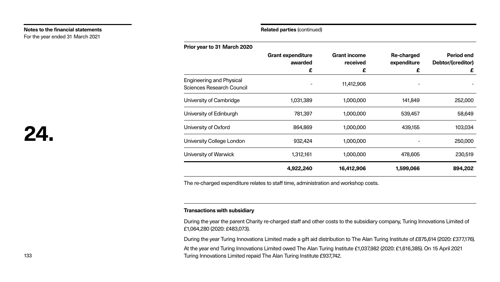| <b>Prior year to 31 March 2020</b>                                  |                          |
|---------------------------------------------------------------------|--------------------------|
|                                                                     | <b>Grant expenditure</b> |
|                                                                     | awarded                  |
| <b>Engineering and Physical</b><br><b>Sciences Research Council</b> |                          |
| University of Cambridge                                             | 1,031,389                |
| University of Edinburgh                                             | 781,397                  |
| University of Oxford                                                | 864,869                  |
| University College London                                           | 932,424                  |
| University of Warwick                                               | 1,312,161                |
|                                                                     | 4,922,240                |

|                                                                     | <b>Grant expenditure</b><br>awarded<br>£ | <b>Grant income</b><br>received<br>£ | <b>Re-charged</b><br>expenditure<br>£ | <b>Period end</b><br>Debtor/(creditor)<br>£ |
|---------------------------------------------------------------------|------------------------------------------|--------------------------------------|---------------------------------------|---------------------------------------------|
| <b>Engineering and Physical</b><br><b>Sciences Research Council</b> |                                          | 11,412,906                           |                                       |                                             |
| University of Cambridge                                             | 1,031,389                                | 1,000,000                            | 141,849                               | 252,000                                     |
| University of Edinburgh                                             | 781,397                                  | 1,000,000                            | 539,457                               | 58,649                                      |
| University of Oxford                                                | 864,869                                  | 1,000,000                            | 439,155                               | 103,034                                     |
| <b>University College London</b>                                    | 932,424                                  | 1,000,000                            |                                       | 250,000                                     |
| University of Warwick                                               | 1,312,161                                | 1,000,000                            | 478,605                               | 230,519                                     |
|                                                                     | 4,922,240                                | 16,412,906                           | 1,599,066                             | 894,202                                     |

The re-charged expenditure relates to staff time, administration and workshop costs.

### **Transactions with subsidiary**

During the year the parent Charity re-charged staff and other costs to the subsidiary company, Turing Innovations Limited of £1,064,280 (2020: £483,073).

During the year Turing Innovations Limited made a gift aid distribution to The Alan Turing Institute of £875,614 (2020: £377,176).

At the year end Turing Innovations Limited owed The Alan Turing Institute £1,037,982 (2020: £1,616,385). On 15 April 2021 Turing Innovations Limited repaid The Alan Turing Institute £937,742.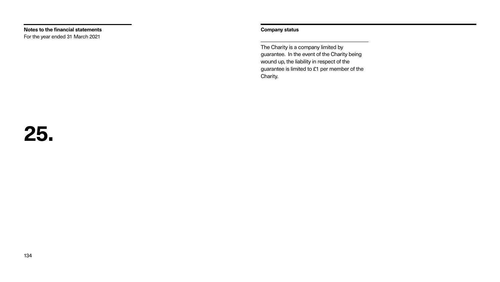### **Company status**

The Charity is a company limited by Charity.

guarantee. In the event of the Charity being wound up, the liability in respect of the guarantee is limited to £1 per member of the